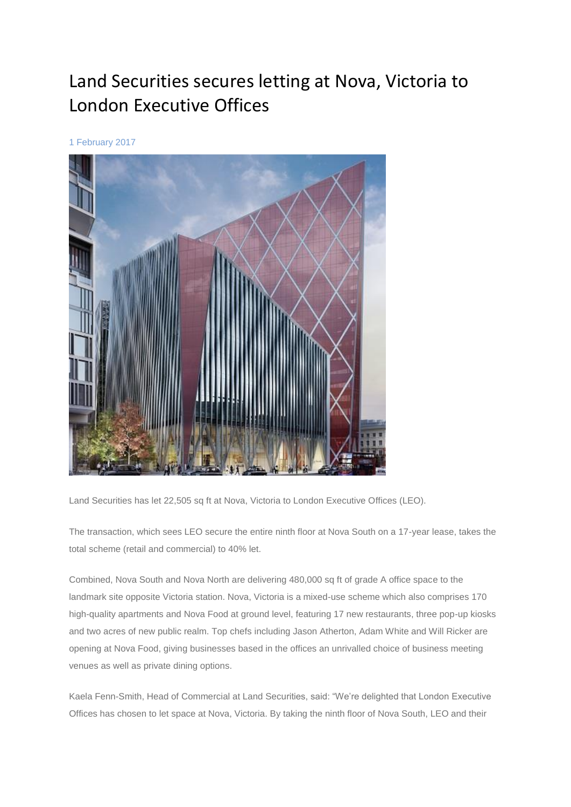## Land Securities secures letting at Nova, Victoria to London Executive Offices

1 February 2017

Land Securities has let 22,505 sq ft at Nova, Victoria to London Executive Offices (LEO).

The transaction, which sees LEO secure the entire ninth floor at Nova South on a 17-year lease, takes the total scheme (retail and commercial) to 40% let.

Combined, Nova South and Nova North are delivering 480,000 sq ft of grade A office space to the landmark site opposite Victoria station. Nova, Victoria is a mixed-use scheme which also comprises 170 high-quality apartments and Nova Food at ground level, featuring 17 new restaurants, three pop-up kiosks and two acres of new public realm. Top chefs including Jason Atherton, Adam White and Will Ricker are opening at Nova Food, giving businesses based in the offices an unrivalled choice of business meeting venues as well as private dining options.

Kaela Fenn-Smith, Head of Commercial at Land Securities, said: "We're delighted that London Executive Offices has chosen to let space at Nova, Victoria. By taking the ninth floor of Nova South, LEO and their